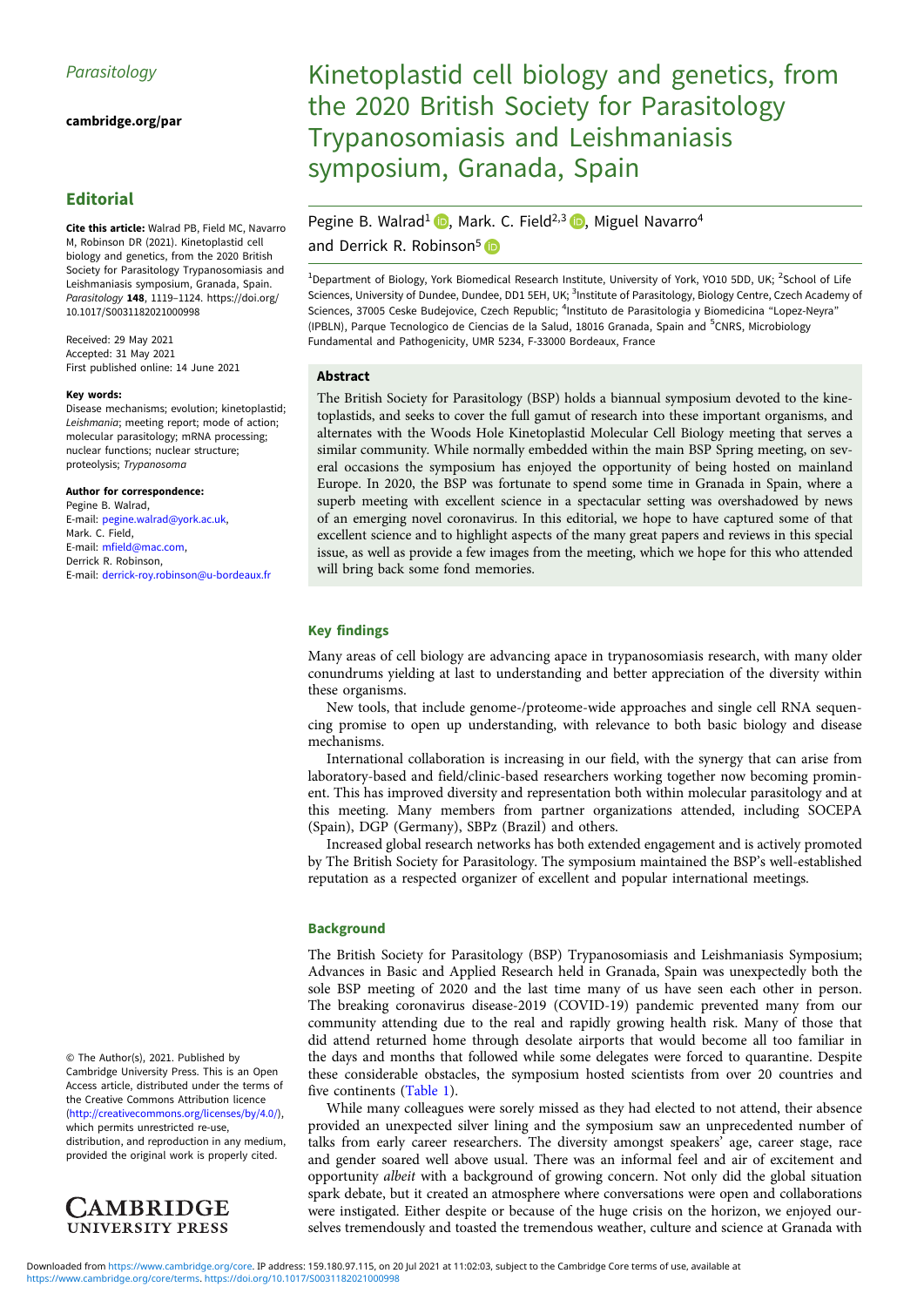[cambridge.org/par](https://www.cambridge.org/par)

# Editorial

Cite this article: Walrad PB, Field MC, Navarro M, Robinson DR (2021). Kinetoplastid cell biology and genetics, from the 2020 British Society for Parasitology Trypanosomiasis and Leishmaniasis symposium, Granada, Spain. Parasitology 148, 1119-1124. [https://doi.org/](https://doi.org/10.1017/S0031182021000998) [10.1017/S0031182021000998](https://doi.org/10.1017/S0031182021000998)

Received: 29 May 2021 Accepted: 31 May 2021 First published online: 14 June 2021

#### Key words:

Disease mechanisms; evolution; kinetoplastid; Leishmania; meeting report; mode of action; molecular parasitology; mRNA processing; nuclear functions; nuclear structure; proteolysis; Trypanosoma

#### Author for correspondence:

Pegine B. Walrad, E-mail: [pegine.walrad@york.ac.uk,](mailto:pegine.walrad@york.ac.uk) Mark. C. Field, E-mail: [mfield@mac.com,](mailto:mfield@mac.com) Derrick R. Robinson, E-mail: [derrick-roy.robinson@u-bordeaux.fr](mailto:derrick-roy.robinson@u-bordeaux.fr)

© The Author(s), 2021. Published by Cambridge University Press. This is an Open Access article, distributed under the terms of the Creative Commons Attribution licence ([http://creativecommons.org/licenses/by/4.0/\)](http://creativecommons.org/licenses/by/4.0/), which permits unrestricted re-use, distribution, and reproduction in any medium, provided the original work is properly cited.



# Kinetoplastid cell biology and genetics, from the 2020 British Society for Parasitology Trypanosomiasis and Leishmaniasis symposium, Granada, Spain

# Pegine B. Walrad<sup>1</sup> **D**[,](https://orcid.org/0000-0002-4866-2885) Mark. C. Field<sup>2,3</sup> D, Miguel Navarro<sup>4</sup>

and Derrick R. Robinson<sup>5</sup>

<sup>1</sup>Department of Biology, York Biomedical Research Institute, University of York, YO10 5DD, UK; <sup>2</sup>School of Life Sciences, University of Dundee, Dundee, DD1 5EH, UK; <sup>3</sup>Institute of Parasitology, Biology Centre, Czech Academy of Sciences, 37005 Ceske Budejovice, Czech Republic; <sup>4</sup>Instituto de Parasitologia y Biomedicina "Lopez-Neyra" (IPBLN), Parque Tecnologico de Ciencias de la Salud, 18016 Granada, Spain and <sup>5</sup>CNRS, Microbiology Fundamental and Pathogenicity, UMR 5234, F-33000 Bordeaux, France

## Abstract

The British Society for Parasitology (BSP) holds a biannual symposium devoted to the kinetoplastids, and seeks to cover the full gamut of research into these important organisms, and alternates with the Woods Hole Kinetoplastid Molecular Cell Biology meeting that serves a similar community. While normally embedded within the main BSP Spring meeting, on several occasions the symposium has enjoyed the opportunity of being hosted on mainland Europe. In 2020, the BSP was fortunate to spend some time in Granada in Spain, where a superb meeting with excellent science in a spectacular setting was overshadowed by news of an emerging novel coronavirus. In this editorial, we hope to have captured some of that excellent science and to highlight aspects of the many great papers and reviews in this special issue, as well as provide a few images from the meeting, which we hope for this who attended will bring back some fond memories.

#### Key findings

Many areas of cell biology are advancing apace in trypanosomiasis research, with many older conundrums yielding at last to understanding and better appreciation of the diversity within these organisms.

New tools, that include genome-/proteome-wide approaches and single cell RNA sequencing promise to open up understanding, with relevance to both basic biology and disease mechanisms.

International collaboration is increasing in our field, with the synergy that can arise from laboratory-based and field/clinic-based researchers working together now becoming prominent. This has improved diversity and representation both within molecular parasitology and at this meeting. Many members from partner organizations attended, including SOCEPA (Spain), DGP (Germany), SBPz (Brazil) and others.

Increased global research networks has both extended engagement and is actively promoted by The British Society for Parasitology. The symposium maintained the BSP's well-established reputation as a respected organizer of excellent and popular international meetings.

#### **Background**

The British Society for Parasitology (BSP) Trypanosomiasis and Leishmaniasis Symposium; Advances in Basic and Applied Research held in Granada, Spain was unexpectedly both the sole BSP meeting of 2020 and the last time many of us have seen each other in person. The breaking coronavirus disease-2019 (COVID-19) pandemic prevented many from our community attending due to the real and rapidly growing health risk. Many of those that did attend returned home through desolate airports that would become all too familiar in the days and months that followed while some delegates were forced to quarantine. Despite these considerable obstacles, the symposium hosted scientists from over 20 countries and five continents [\(Table 1\)](#page-1-0).

While many colleagues were sorely missed as they had elected to not attend, their absence provided an unexpected silver lining and the symposium saw an unprecedented number of talks from early career researchers. The diversity amongst speakers' age, career stage, race and gender soared well above usual. There was an informal feel and air of excitement and opportunity albeit with a background of growing concern. Not only did the global situation spark debate, but it created an atmosphere where conversations were open and collaborations were instigated. Either despite or because of the huge crisis on the horizon, we enjoyed ourselves tremendously and toasted the tremendous weather, culture and science at Granada with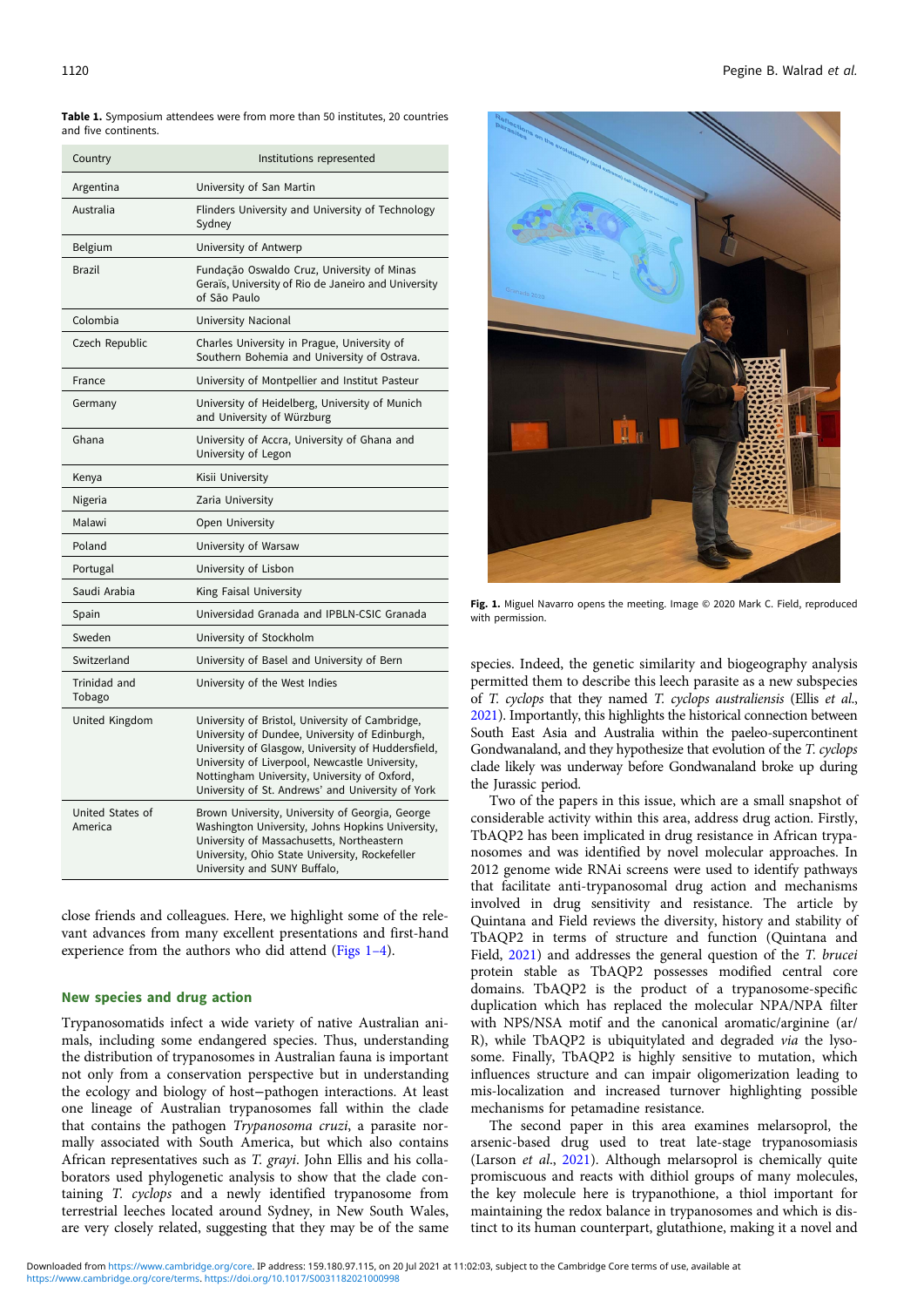<span id="page-1-0"></span>Table 1. Symposium attendees were from more than 50 institutes, 20 countries and five continents.

| Country                     | Institutions represented                                                                                                                                                                                                                                                                                       |
|-----------------------------|----------------------------------------------------------------------------------------------------------------------------------------------------------------------------------------------------------------------------------------------------------------------------------------------------------------|
| Argentina                   | University of San Martin                                                                                                                                                                                                                                                                                       |
| Australia                   | Flinders University and University of Technology<br>Sydney                                                                                                                                                                                                                                                     |
| Belgium                     | University of Antwerp                                                                                                                                                                                                                                                                                          |
| <b>Brazil</b>               | Fundação Oswaldo Cruz, University of Minas<br>Geraïs, University of Rio de Janeiro and University<br>of São Paulo                                                                                                                                                                                              |
| Colombia                    | University Nacional                                                                                                                                                                                                                                                                                            |
| Czech Republic              | Charles University in Prague, University of<br>Southern Bohemia and University of Ostrava.                                                                                                                                                                                                                     |
| France                      | University of Montpellier and Institut Pasteur                                                                                                                                                                                                                                                                 |
| Germany                     | University of Heidelberg, University of Munich<br>and University of Würzburg                                                                                                                                                                                                                                   |
| Ghana                       | University of Accra, University of Ghana and<br>University of Legon                                                                                                                                                                                                                                            |
| Kenya                       | Kisii University                                                                                                                                                                                                                                                                                               |
| Nigeria                     | Zaria University                                                                                                                                                                                                                                                                                               |
| Malawi                      | Open University                                                                                                                                                                                                                                                                                                |
| Poland                      | University of Warsaw                                                                                                                                                                                                                                                                                           |
| Portugal                    | University of Lisbon                                                                                                                                                                                                                                                                                           |
| Saudi Arabia                | King Faisal University                                                                                                                                                                                                                                                                                         |
| Spain                       | Universidad Granada and IPBLN-CSIC Granada                                                                                                                                                                                                                                                                     |
| Sweden                      | University of Stockholm                                                                                                                                                                                                                                                                                        |
| Switzerland                 | University of Basel and University of Bern                                                                                                                                                                                                                                                                     |
| Trinidad and<br>Tobago      | University of the West Indies                                                                                                                                                                                                                                                                                  |
| United Kingdom              | University of Bristol, University of Cambridge,<br>University of Dundee, University of Edinburgh,<br>University of Glasgow, University of Huddersfield,<br>University of Liverpool, Newcastle University,<br>Nottingham University, University of Oxford,<br>University of St. Andrews' and University of York |
| United States of<br>America | Brown University, University of Georgia, George<br>Washington University, Johns Hopkins University,<br>University of Massachusetts, Northeastern<br>University, Ohio State University, Rockefeller<br>University and SUNY Buffalo,                                                                             |

close friends and colleagues. Here, we highlight some of the relevant advances from many excellent presentations and first-hand experience from the authors who did attend (Figs 1–4).

### New species and drug action

Trypanosomatids infect a wide variety of native Australian animals, including some endangered species. Thus, understanding the distribution of trypanosomes in Australian fauna is important not only from a conservation perspective but in understanding the ecology and biology of host−pathogen interactions. At least one lineage of Australian trypanosomes fall within the clade that contains the pathogen Trypanosoma cruzi, a parasite normally associated with South America, but which also contains African representatives such as T. grayi. John Ellis and his collaborators used phylogenetic analysis to show that the clade containing T. cyclops and a newly identified trypanosome from terrestrial leeches located around Sydney, in New South Wales, are very closely related, suggesting that they may be of the same



Fig. 1. Miguel Navarro opens the meeting. Image @ 2020 Mark C. Field, reproduced with permission.

species. Indeed, the genetic similarity and biogeography analysis permitted them to describe this leech parasite as a new subspecies of T. cyclops that they named T. cyclops australiensis (Ellis et al., [2021\)](#page-5-0). Importantly, this highlights the historical connection between South East Asia and Australia within the paeleo-supercontinent Gondwanaland, and they hypothesize that evolution of the T. cyclops clade likely was underway before Gondwanaland broke up during the Jurassic period.

Two of the papers in this issue, which are a small snapshot of considerable activity within this area, address drug action. Firstly, TbAQP2 has been implicated in drug resistance in African trypanosomes and was identified by novel molecular approaches. In 2012 genome wide RNAi screens were used to identify pathways that facilitate anti-trypanosomal drug action and mechanisms involved in drug sensitivity and resistance. The article by Quintana and Field reviews the diversity, history and stability of TbAQP2 in terms of structure and function (Quintana and Field, [2021\)](#page-5-0) and addresses the general question of the T. brucei protein stable as TbAQP2 possesses modified central core domains. TbAQP2 is the product of a trypanosome-specific duplication which has replaced the molecular NPA/NPA filter with NPS/NSA motif and the canonical aromatic/arginine (ar/ R), while TbAQP2 is ubiquitylated and degraded via the lysosome. Finally, TbAQP2 is highly sensitive to mutation, which influences structure and can impair oligomerization leading to mis-localization and increased turnover highlighting possible mechanisms for petamadine resistance.

The second paper in this area examines melarsoprol, the arsenic-based drug used to treat late-stage trypanosomiasis (Larson et al., [2021\)](#page-5-0). Although melarsoprol is chemically quite promiscuous and reacts with dithiol groups of many molecules, the key molecule here is trypanothione, a thiol important for maintaining the redox balance in trypanosomes and which is distinct to its human counterpart, glutathione, making it a novel and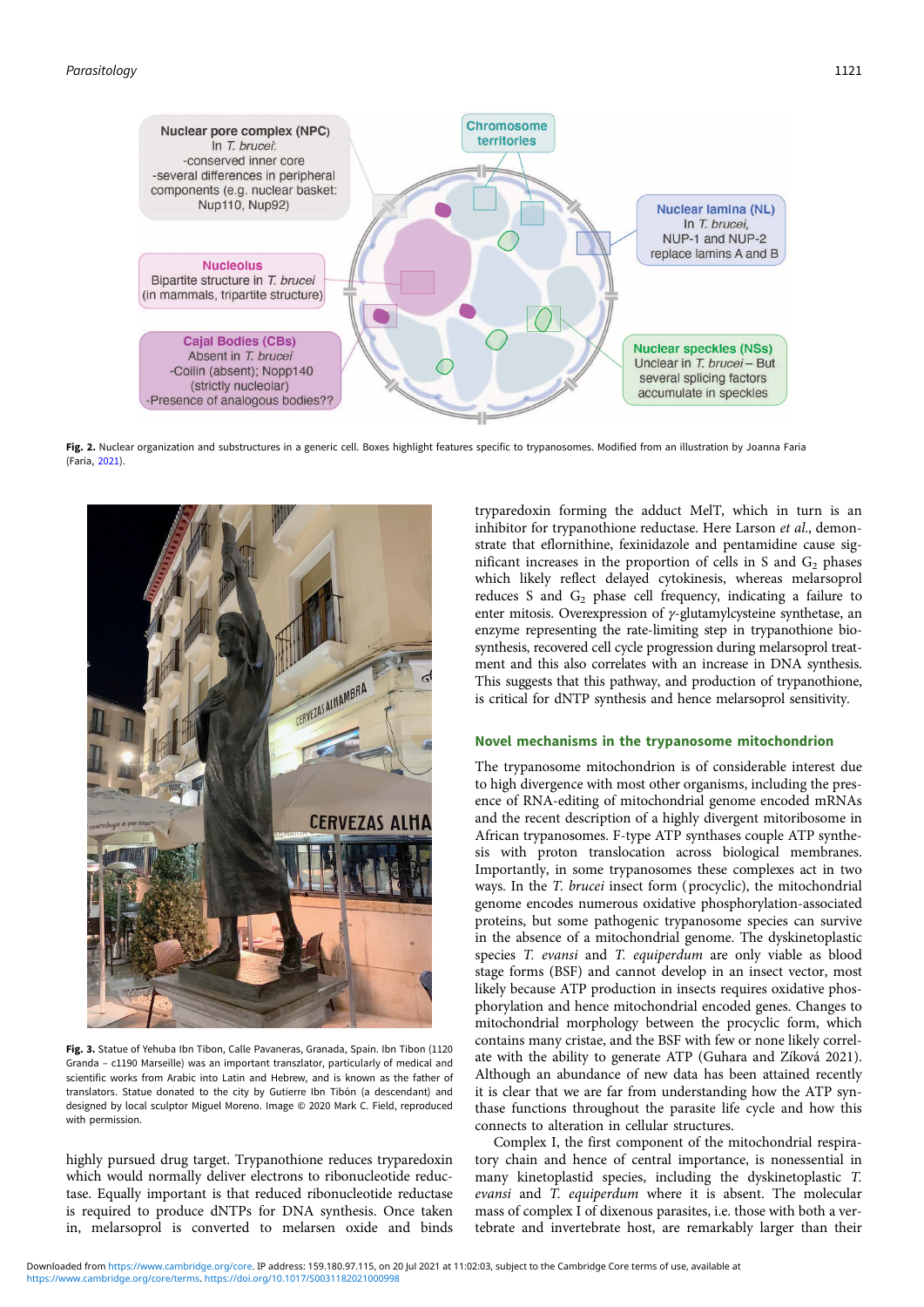

Fig. 2. Nuclear organization and substructures in a generic cell. Boxes highlight features specific to trypanosomes. Modified from an illustration by Joanna Faria (Faria, [2021\)](#page-5-0).



Fig. 3. Statue of Yehuba Ibn Tibon, Calle Pavaneras, Granada, Spain. Ibn Tibon (1120 Granda – c1190 Marseille) was an important transzlator, particularly of medical and scientific works from Arabic into Latin and Hebrew, and is known as the father of translators. Statue donated to the city by Gutierre Ibn Tibón (a descendant) and designed by local sculptor Miguel Moreno. Image © 2020 Mark C. Field, reproduced with permission.

highly pursued drug target. Trypanothione reduces tryparedoxin which would normally deliver electrons to ribonucleotide reductase. Equally important is that reduced ribonucleotide reductase is required to produce dNTPs for DNA synthesis. Once taken in, melarsoprol is converted to melarsen oxide and binds

tryparedoxin forming the adduct MelT, which in turn is an inhibitor for trypanothione reductase. Here Larson et al., demonstrate that eflornithine, fexinidazole and pentamidine cause significant increases in the proportion of cells in S and  $G_2$  phases which likely reflect delayed cytokinesis, whereas melarsoprol reduces S and  $G_2$  phase cell frequency, indicating a failure to enter mitosis. Overexpression of  $\gamma$ -glutamylcysteine synthetase, an enzyme representing the rate-limiting step in trypanothione biosynthesis, recovered cell cycle progression during melarsoprol treatment and this also correlates with an increase in DNA synthesis. This suggests that this pathway, and production of trypanothione, is critical for dNTP synthesis and hence melarsoprol sensitivity.

#### Novel mechanisms in the trypanosome mitochondrion

The trypanosome mitochondrion is of considerable interest due to high divergence with most other organisms, including the presence of RNA-editing of mitochondrial genome encoded mRNAs and the recent description of a highly divergent mitoribosome in African trypanosomes. F-type ATP synthases couple ATP synthesis with proton translocation across biological membranes. Importantly, in some trypanosomes these complexes act in two ways. In the T. brucei insect form (procyclic), the mitochondrial genome encodes numerous oxidative phosphorylation-associated proteins, but some pathogenic trypanosome species can survive in the absence of a mitochondrial genome. The dyskinetoplastic species T. evansi and T. equiperdum are only viable as blood stage forms (BSF) and cannot develop in an insect vector, most likely because ATP production in insects requires oxidative phosphorylation and hence mitochondrial encoded genes. Changes to mitochondrial morphology between the procyclic form, which contains many cristae, and the BSF with few or none likely correlate with the ability to generate ATP (Guhara and Zíková 2021). Although an abundance of new data has been attained recently it is clear that we are far from understanding how the ATP synthase functions throughout the parasite life cycle and how this connects to alteration in cellular structures.

Complex I, the first component of the mitochondrial respiratory chain and hence of central importance, is nonessential in many kinetoplastid species, including the dyskinetoplastic T. evansi and T. equiperdum where it is absent. The molecular mass of complex I of dixenous parasites, i.e. those with both a vertebrate and invertebrate host, are remarkably larger than their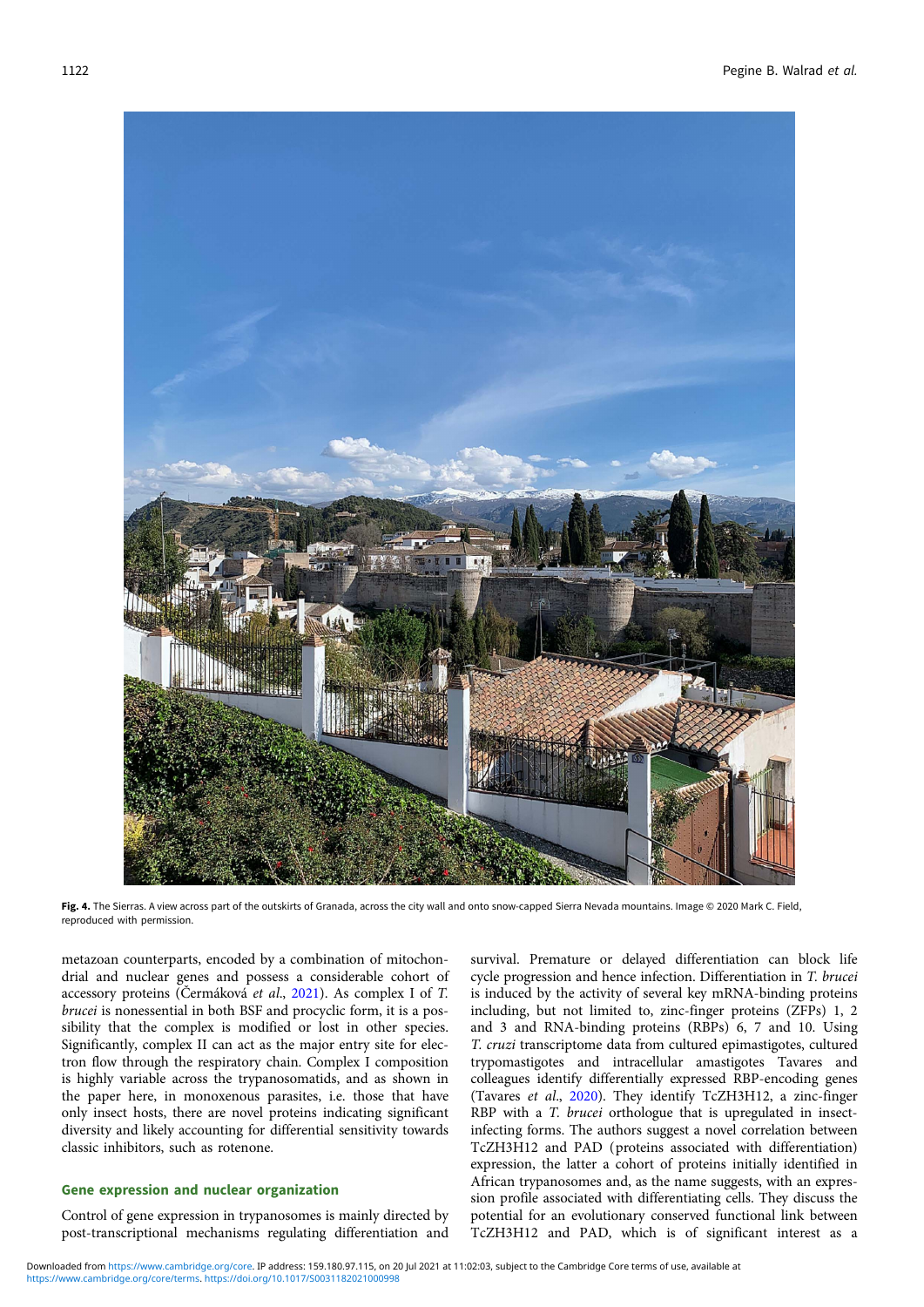

Fig. 4. The Sierras. A view across part of the outskirts of Granada, across the city wall and onto snow-capped Sierra Nevada mountains. Image © 2020 Mark C. Field, reproduced with permission.

metazoan counterparts, encoded by a combination of mitochondrial and nuclear genes and possess a considerable cohort of accessory proteins (Čermáková et al., [2021\)](#page-5-0). As complex I of T. brucei is nonessential in both BSF and procyclic form, it is a possibility that the complex is modified or lost in other species. Significantly, complex II can act as the major entry site for electron flow through the respiratory chain. Complex I composition is highly variable across the trypanosomatids, and as shown in the paper here, in monoxenous parasites, i.e. those that have only insect hosts, there are novel proteins indicating significant diversity and likely accounting for differential sensitivity towards classic inhibitors, such as rotenone.

# Gene expression and nuclear organization

Control of gene expression in trypanosomes is mainly directed by post-transcriptional mechanisms regulating differentiation and survival. Premature or delayed differentiation can block life cycle progression and hence infection. Differentiation in T. brucei is induced by the activity of several key mRNA-binding proteins including, but not limited to, zinc-finger proteins (ZFPs) 1, 2 and 3 and RNA-binding proteins (RBPs) 6, 7 and 10. Using T. cruzi transcriptome data from cultured epimastigotes, cultured trypomastigotes and intracellular amastigotes Tavares and colleagues identify differentially expressed RBP-encoding genes (Tavares et al., [2020](#page-5-0)). They identify TcZH3H12, a zinc-finger RBP with a *T. brucei* orthologue that is upregulated in insectinfecting forms. The authors suggest a novel correlation between TcZH3H12 and PAD (proteins associated with differentiation) expression, the latter a cohort of proteins initially identified in African trypanosomes and, as the name suggests, with an expression profile associated with differentiating cells. They discuss the potential for an evolutionary conserved functional link between TcZH3H12 and PAD, which is of significant interest as a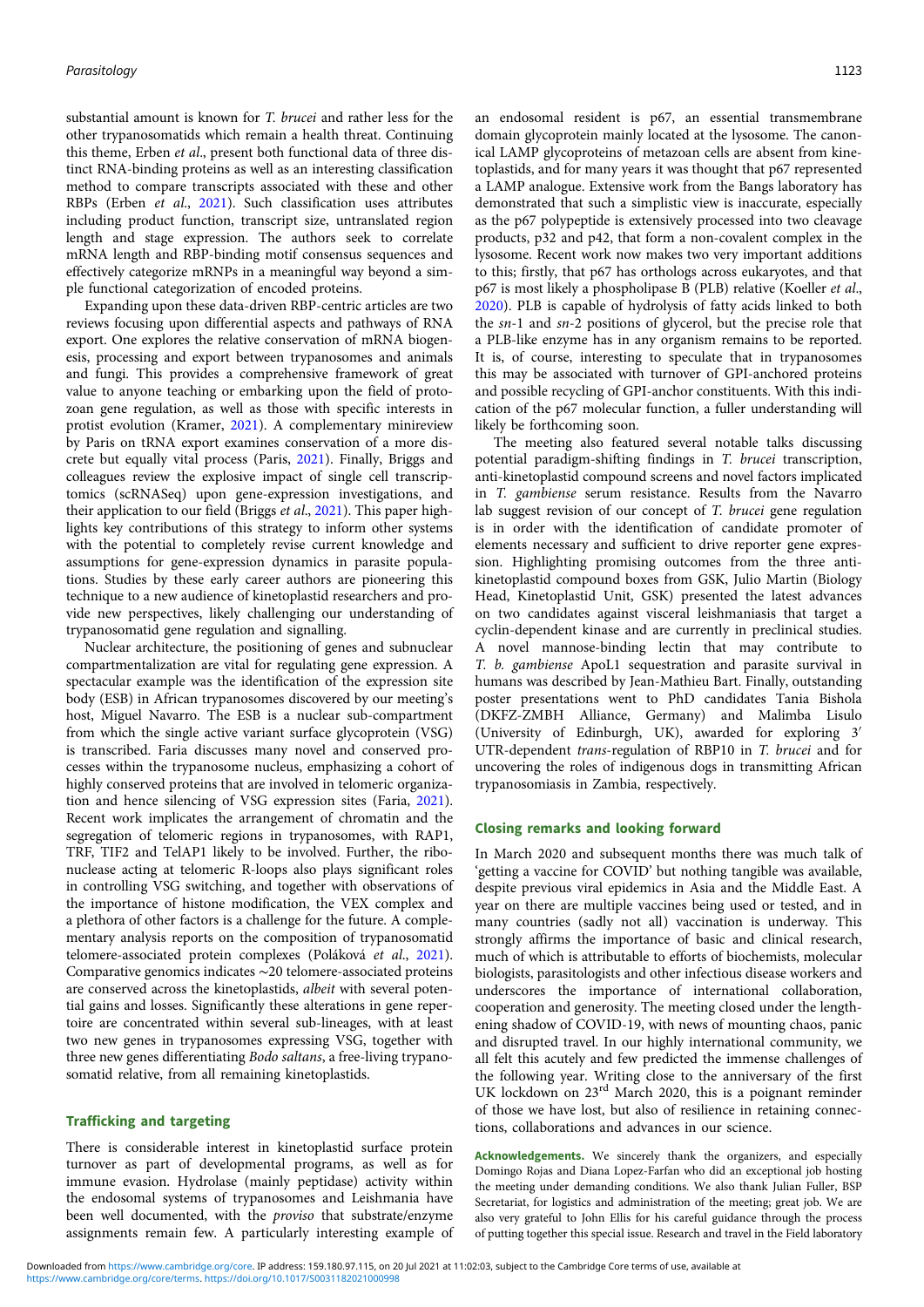substantial amount is known for T. brucei and rather less for the other trypanosomatids which remain a health threat. Continuing this theme, Erben et al., present both functional data of three distinct RNA-binding proteins as well as an interesting classification method to compare transcripts associated with these and other RBPs (Erben et al., [2021](#page-5-0)). Such classification uses attributes including product function, transcript size, untranslated region length and stage expression. The authors seek to correlate mRNA length and RBP-binding motif consensus sequences and effectively categorize mRNPs in a meaningful way beyond a simple functional categorization of encoded proteins.

Expanding upon these data-driven RBP-centric articles are two reviews focusing upon differential aspects and pathways of RNA export. One explores the relative conservation of mRNA biogenesis, processing and export between trypanosomes and animals and fungi. This provides a comprehensive framework of great value to anyone teaching or embarking upon the field of protozoan gene regulation, as well as those with specific interests in protist evolution (Kramer, [2021\)](#page-5-0). A complementary minireview by Paris on tRNA export examines conservation of a more discrete but equally vital process (Paris, [2021](#page-5-0)). Finally, Briggs and colleagues review the explosive impact of single cell transcriptomics (scRNASeq) upon gene-expression investigations, and their application to our field (Briggs et al., [2021](#page-5-0)). This paper highlights key contributions of this strategy to inform other systems with the potential to completely revise current knowledge and assumptions for gene-expression dynamics in parasite populations. Studies by these early career authors are pioneering this technique to a new audience of kinetoplastid researchers and provide new perspectives, likely challenging our understanding of trypanosomatid gene regulation and signalling.

Nuclear architecture, the positioning of genes and subnuclear compartmentalization are vital for regulating gene expression. A spectacular example was the identification of the expression site body (ESB) in African trypanosomes discovered by our meeting's host, Miguel Navarro. The ESB is a nuclear sub-compartment from which the single active variant surface glycoprotein (VSG) is transcribed. Faria discusses many novel and conserved processes within the trypanosome nucleus, emphasizing a cohort of highly conserved proteins that are involved in telomeric organization and hence silencing of VSG expression sites (Faria, [2021\)](#page-5-0). Recent work implicates the arrangement of chromatin and the segregation of telomeric regions in trypanosomes, with RAP1, TRF, TIF2 and TelAP1 likely to be involved. Further, the ribonuclease acting at telomeric R-loops also plays significant roles in controlling VSG switching, and together with observations of the importance of histone modification, the VEX complex and a plethora of other factors is a challenge for the future. A complementary analysis reports on the composition of trypanosomatid telomere-associated protein complexes (Poláková et al., [2021\)](#page-5-0). Comparative genomics indicates ∼20 telomere-associated proteins are conserved across the kinetoplastids, albeit with several potential gains and losses. Significantly these alterations in gene repertoire are concentrated within several sub-lineages, with at least two new genes in trypanosomes expressing VSG, together with three new genes differentiating Bodo saltans, a free-living trypanosomatid relative, from all remaining kinetoplastids.

#### Trafficking and targeting

There is considerable interest in kinetoplastid surface protein turnover as part of developmental programs, as well as for immune evasion. Hydrolase (mainly peptidase) activity within the endosomal systems of trypanosomes and Leishmania have been well documented, with the proviso that substrate/enzyme assignments remain few. A particularly interesting example of an endosomal resident is p67, an essential transmembrane domain glycoprotein mainly located at the lysosome. The canonical LAMP glycoproteins of metazoan cells are absent from kinetoplastids, and for many years it was thought that p67 represented a LAMP analogue. Extensive work from the Bangs laboratory has demonstrated that such a simplistic view is inaccurate, especially as the p67 polypeptide is extensively processed into two cleavage products, p32 and p42, that form a non-covalent complex in the lysosome. Recent work now makes two very important additions to this; firstly, that p67 has orthologs across eukaryotes, and that p67 is most likely a phospholipase B (PLB) relative (Koeller et al., [2020](#page-5-0)). PLB is capable of hydrolysis of fatty acids linked to both the sn-1 and sn-2 positions of glycerol, but the precise role that a PLB-like enzyme has in any organism remains to be reported. It is, of course, interesting to speculate that in trypanosomes this may be associated with turnover of GPI-anchored proteins and possible recycling of GPI-anchor constituents. With this indication of the p67 molecular function, a fuller understanding will likely be forthcoming soon.

The meeting also featured several notable talks discussing potential paradigm-shifting findings in T. brucei transcription, anti-kinetoplastid compound screens and novel factors implicated in T. gambiense serum resistance. Results from the Navarro lab suggest revision of our concept of T. brucei gene regulation is in order with the identification of candidate promoter of elements necessary and sufficient to drive reporter gene expression. Highlighting promising outcomes from the three antikinetoplastid compound boxes from GSK, Julio Martin (Biology Head, Kinetoplastid Unit, GSK) presented the latest advances on two candidates against visceral leishmaniasis that target a cyclin-dependent kinase and are currently in preclinical studies. A novel mannose-binding lectin that may contribute to T. b. gambiense ApoL1 sequestration and parasite survival in humans was described by Jean-Mathieu Bart. Finally, outstanding poster presentations went to PhD candidates Tania Bishola (DKFZ-ZMBH Alliance, Germany) and Malimba Lisulo (University of Edinburgh, UK), awarded for exploring 3′ UTR-dependent trans-regulation of RBP10 in T. brucei and for uncovering the roles of indigenous dogs in transmitting African trypanosomiasis in Zambia, respectively.

## Closing remarks and looking forward

In March 2020 and subsequent months there was much talk of 'getting a vaccine for COVID' but nothing tangible was available, despite previous viral epidemics in Asia and the Middle East. A year on there are multiple vaccines being used or tested, and in many countries (sadly not all) vaccination is underway. This strongly affirms the importance of basic and clinical research, much of which is attributable to efforts of biochemists, molecular biologists, parasitologists and other infectious disease workers and underscores the importance of international collaboration, cooperation and generosity. The meeting closed under the lengthening shadow of COVID-19, with news of mounting chaos, panic and disrupted travel. In our highly international community, we all felt this acutely and few predicted the immense challenges of the following year. Writing close to the anniversary of the first UK lockdown on 23<sup>rd</sup> March 2020, this is a poignant reminder of those we have lost, but also of resilience in retaining connections, collaborations and advances in our science.

Acknowledgements. We sincerely thank the organizers, and especially Domingo Rojas and Diana Lopez-Farfan who did an exceptional job hosting the meeting under demanding conditions. We also thank Julian Fuller, BSP Secretariat, for logistics and administration of the meeting; great job. We are also very grateful to John Ellis for his careful guidance through the process of putting together this special issue. Research and travel in the Field laboratory